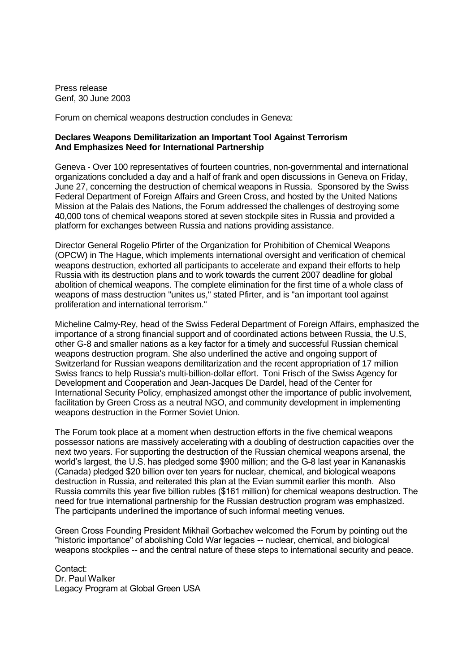Press release Genf, 30 June 2003

Forum on chemical weapons destruction concludes in Geneva:

## **Declares Weapons Demilitarization an Important Tool Against Terrorism And Emphasizes Need for International Partnership**

Geneva - Over 100 representatives of fourteen countries, non-governmental and international organizations concluded a day and a half of frank and open discussions in Geneva on Friday, June 27, concerning the destruction of chemical weapons in Russia. Sponsored by the Swiss Federal Department of Foreign Affairs and Green Cross, and hosted by the United Nations Mission at the Palais des Nations, the Forum addressed the challenges of destroying some 40,000 tons of chemical weapons stored at seven stockpile sites in Russia and provided a platform for exchanges between Russia and nations providing assistance.

Director General Rogelio Pfirter of the Organization for Prohibition of Chemical Weapons (OPCW) in The Hague, which implements international oversight and verification of chemical weapons destruction, exhorted all participants to accelerate and expand their efforts to help Russia with its destruction plans and to work towards the current 2007 deadline for global abolition of chemical weapons. The complete elimination for the first time of a whole class of weapons of mass destruction "unites us," stated Pfirter, and is "an important tool against proliferation and international terrorism."

Micheline Calmy-Rey, head of the Swiss Federal Department of Foreign Affairs, emphasized the importance of a strong financial support and of coordinated actions between Russia, the U.S, other G-8 and smaller nations as a key factor for a timely and successful Russian chemical weapons destruction program. She also underlined the active and ongoing support of Switzerland for Russian weapons demilitarization and the recent appropriation of 17 million Swiss francs to help Russia's multi-billion-dollar effort. Toni Frisch of the Swiss Agency for Development and Cooperation and Jean-Jacques De Dardel, head of the Center for International Security Policy, emphasized amongst other the importance of public involvement, facilitation by Green Cross as a neutral NGO, and community development in implementing weapons destruction in the Former Soviet Union.

The Forum took place at a moment when destruction efforts in the five chemical weapons possessor nations are massively accelerating with a doubling of destruction capacities over the next two years. For supporting the destruction of the Russian chemical weapons arsenal, the world's largest, the U.S. has pledged some \$900 million; and the G-8 last year in Kananaskis (Canada) pledged \$20 billion over ten years for nuclear, chemical, and biological weapons destruction in Russia, and reiterated this plan at the Evian summit earlier this month. Also Russia commits this year five billion rubles (\$161 million) for chemical weapons destruction. The need for true international partnership for the Russian destruction program was emphasized. The participants underlined the importance of such informal meeting venues.

Green Cross Founding President Mikhail Gorbachev welcomed the Forum by pointing out the "historic importance" of abolishing Cold War legacies -- nuclear, chemical, and biological weapons stockpiles -- and the central nature of these steps to international security and peace.

Contact: Dr. Paul Walker Legacy Program at Global Green USA